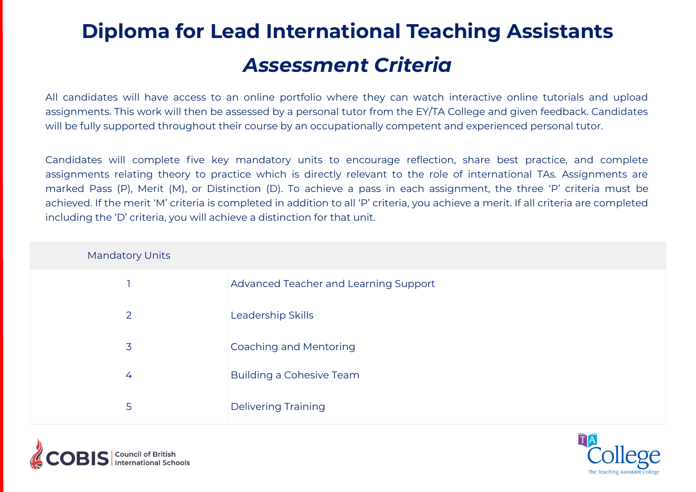# **Diploma for Lead International Teaching Assistants** *Assessment Criteria*

All candidates will have access to an online portfolio where they can watch interactive online tutorials and upload assignments. This work will then be assessed by a personal tutor from the EY/TA College and given feedback. Candidates will be fully supported throughout their course by an occupationally competent and experienced personal tutor.

Candidates will complete five key mandatory units to encourage reflection, share best practice, and complete assignments relating theory to practice which is directly relevant to the role of international TAs. Assignments are marked Pass (P), Merit (M), or Distinction (D). To achieve a pass in each assignment, the three 'P' criteria must be achieved. If the merit 'M' criteria is completed in addition to all 'P' criteria, you achieve a merit. If all criteria are completed including the 'D' criteria, you will achieve a distinction for that unit.

| <b>Mandatory Units</b> |                                       |
|------------------------|---------------------------------------|
|                        | Advanced Teacher and Learning Support |
| 2                      | Leadership Skills                     |
| $\overline{3}$         | Coaching and Mentoring                |
| 4                      | <b>Building a Cohesive Team</b>       |
| 5                      | <b>Delivering Training</b>            |



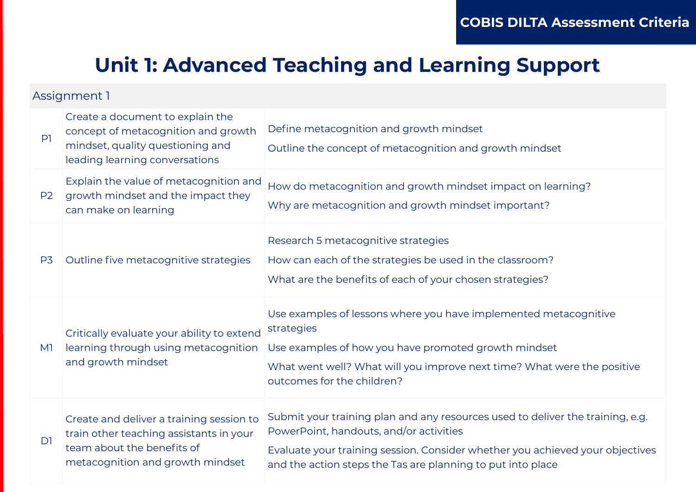## **Unit 1: Advanced Teaching and Learning Support**

| P <sub>1</sub> | Create a document to explain the<br>concept of metacognition and growth<br>mindset, quality questioning and<br>leading learning conversations         | Define metacognition and growth mindset<br>Outline the concept of metacognition and growth mindset                                                                                                                                                                        |
|----------------|-------------------------------------------------------------------------------------------------------------------------------------------------------|---------------------------------------------------------------------------------------------------------------------------------------------------------------------------------------------------------------------------------------------------------------------------|
| P <sub>2</sub> | Explain the value of metacognition and<br>growth mindset and the impact they<br>can make on learning                                                  | How do metacognition and growth mindset impact on learning?<br>Why are metacognition and growth mindset important?                                                                                                                                                        |
| P <sub>3</sub> | Outline five metacognitive strategies                                                                                                                 | Research 5 metacognitive strategies<br>How can each of the strategies be used in the classroom?<br>What are the benefits of each of your chosen strategies?                                                                                                               |
| M1             | Critically evaluate your ability to extend<br>learning through using metacognition<br>and growth mindset                                              | Use examples of lessons where you have implemented metacognitive<br>strategies<br>Use examples of how you have promoted growth mindset<br>What went well? What will you improve next time? What were the positive<br>outcomes for the children?                           |
| D <sub>1</sub> | Create and deliver a training session to<br>train other teaching assistants in your<br>team about the benefits of<br>metacognition and growth mindset | Submit your training plan and any resources used to deliver the training, e.g.<br>PowerPoint, handouts, and/or activities<br>Evaluate your training session. Consider whether you achieved your objectives<br>and the action steps the Tas are planning to put into place |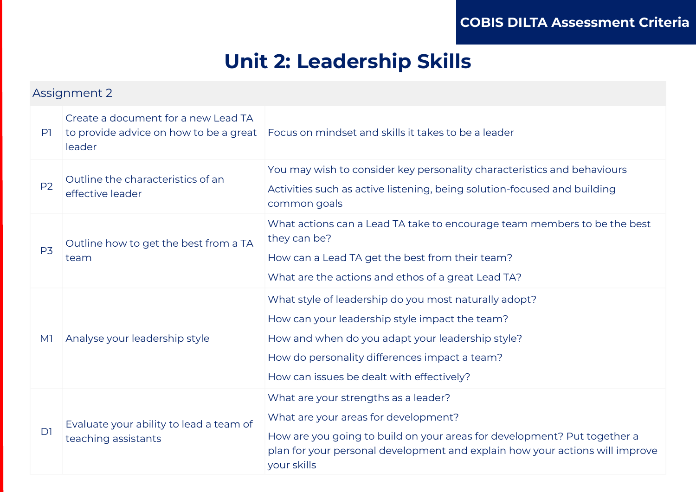### **Unit 2: Leadership Skills**

| Assignment 2   |                                                                                         |                                                                                                                                                                                                                                                           |
|----------------|-----------------------------------------------------------------------------------------|-----------------------------------------------------------------------------------------------------------------------------------------------------------------------------------------------------------------------------------------------------------|
| P <sub>1</sub> | Create a document for a new Lead TA<br>to provide advice on how to be a great<br>leader | Focus on mindset and skills it takes to be a leader                                                                                                                                                                                                       |
| P <sub>2</sub> | Outline the characteristics of an<br>effective leader                                   | You may wish to consider key personality characteristics and behaviours<br>Activities such as active listening, being solution-focused and building<br>common goals                                                                                       |
| P <sub>3</sub> | Outline how to get the best from a TA<br>team                                           | What actions can a Lead TA take to encourage team members to be the best<br>they can be?<br>How can a Lead TA get the best from their team?<br>What are the actions and ethos of a great Lead TA?                                                         |
| M1             | Analyse your leadership style                                                           | What style of leadership do you most naturally adopt?<br>How can your leadership style impact the team?<br>How and when do you adapt your leadership style?<br>How do personality differences impact a team?<br>How can issues be dealt with effectively? |
| D <sub>1</sub> | Evaluate your ability to lead a team of<br>teaching assistants                          | What are your strengths as a leader?<br>What are your areas for development?<br>How are you going to build on your areas for development? Put together a<br>plan for your personal development and explain how your actions will improve<br>your skills   |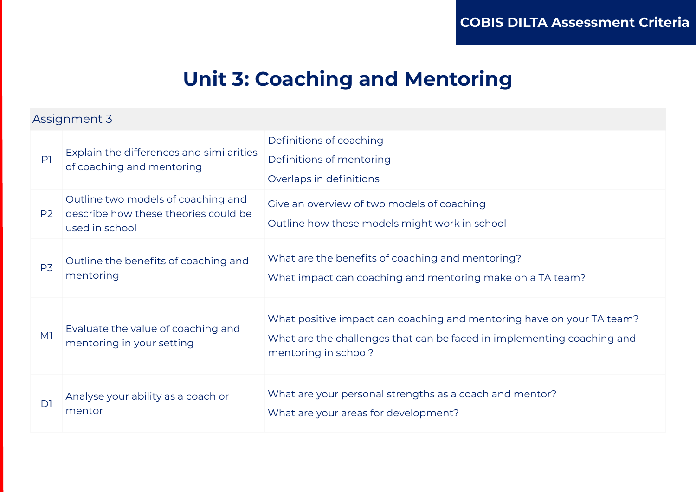### **Unit 3: Coaching and Mentoring**

| P1             | Explain the differences and similarities<br>of coaching and mentoring                        | Definitions of coaching<br>Definitions of mentoring<br>Overlaps in definitions                                                                                          |
|----------------|----------------------------------------------------------------------------------------------|-------------------------------------------------------------------------------------------------------------------------------------------------------------------------|
| P <sub>2</sub> | Outline two models of coaching and<br>describe how these theories could be<br>used in school | Give an overview of two models of coaching<br>Outline how these models might work in school                                                                             |
| P <sub>3</sub> | Outline the benefits of coaching and<br>mentoring                                            | What are the benefits of coaching and mentoring?<br>What impact can coaching and mentoring make on a TA team?                                                           |
| M <sub>1</sub> | Evaluate the value of coaching and<br>mentoring in your setting                              | What positive impact can coaching and mentoring have on your TA team?<br>What are the challenges that can be faced in implementing coaching and<br>mentoring in school? |
| D1             | Analyse your ability as a coach or<br>mentor                                                 | What are your personal strengths as a coach and mentor?<br>What are your areas for development?                                                                         |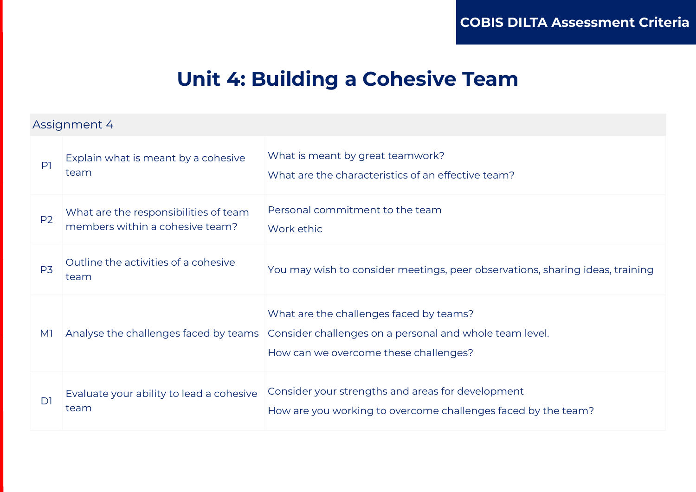### **Unit 4: Building a Cohesive Team**

| $\mathsf{P}$   | Explain what is meant by a cohesive<br>team                              | What is meant by great teamwork?<br>What are the characteristics of an effective team?                                                      |
|----------------|--------------------------------------------------------------------------|---------------------------------------------------------------------------------------------------------------------------------------------|
| P <sub>2</sub> | What are the responsibilities of team<br>members within a cohesive team? | Personal commitment to the team<br>Work ethic                                                                                               |
| P <sub>3</sub> | Outline the activities of a cohesive<br>team                             | You may wish to consider meetings, peer observations, sharing ideas, training                                                               |
| M1             | Analyse the challenges faced by teams                                    | What are the challenges faced by teams?<br>Consider challenges on a personal and whole team level.<br>How can we overcome these challenges? |
| D1             | Evaluate your ability to lead a cohesive<br>team                         | Consider your strengths and areas for development<br>How are you working to overcome challenges faced by the team?                          |